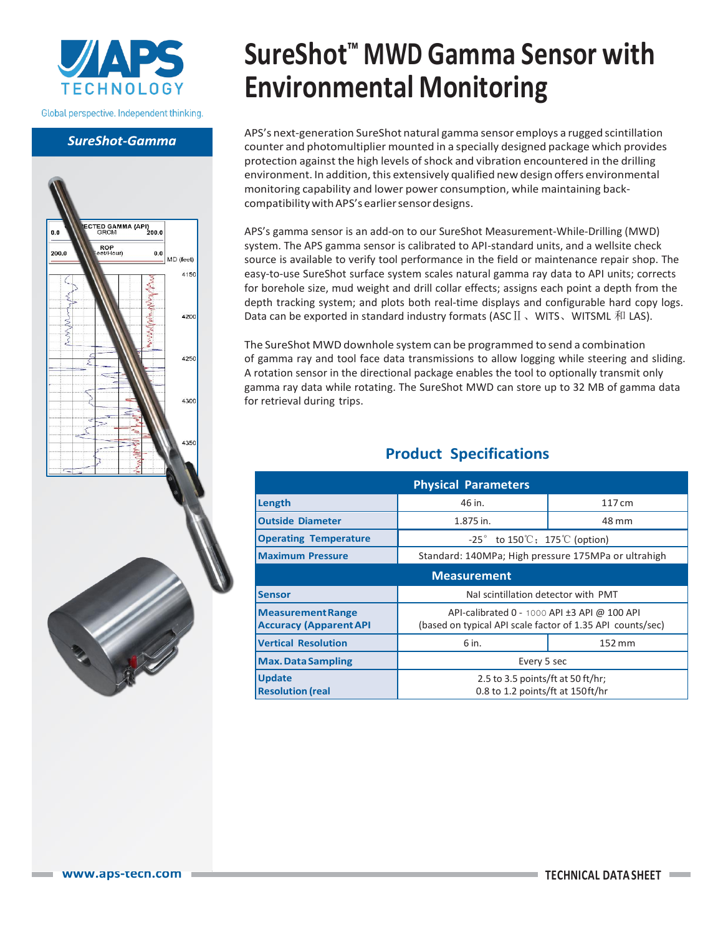

Global perspective. Independent thinking.

### **SureShot-Gamma**



# **SureShot™ MWD Gamma Sensor with Environmental Monitoring**

APS's next-generation SureShot natural gamma sensor employs a rugged scintillation counter and photomultiplier mounted in a specially designed package which provides protection against the high levels of shock and vibration encountered in the drilling environment. In addition, this extensively qualified new design offers environmental monitoring capability and lower power consumption, while maintaining backcompatibility with APS's earlier sensor designs.

APS's gamma sensor is an add-on to our SureShot Measurement-While-Drilling (MWD) system. The APS gamma sensor is calibrated to API-standard units, and a wellsite check source is available to verify tool performance in the field or maintenance repair shop. The easy-to-use SureShot surface system scales natural gamma ray data to API units; corrects for borehole size, mud weight and drill collar effects; assigns each point a depth from the depth tracking system; and plots both real-time displays and configurable hard copy logs. Data can be exported in standard industry formats (ASC II 、WITS、WITSML 和 LAS).

The SureShot MWD downhole systemcan be programmed to send a combination of gamma ray and tool face data transmissions to allow logging while steering and sliding. A rotation sensor in the directional package enables the tool to optionally transmit only gamma ray data while rotating. The SureShot MWD can store up to 32 MB of gamma data for retrieval during trips.

## **Product Specifications**

|                                                           | <b>Physical Parameters</b>                                                                                 |        |  |  |  |
|-----------------------------------------------------------|------------------------------------------------------------------------------------------------------------|--------|--|--|--|
|                                                           |                                                                                                            |        |  |  |  |
| Length                                                    | 46 in.                                                                                                     | 117 cm |  |  |  |
| <b>Outside Diameter</b>                                   | 1.875 in.                                                                                                  | 48 mm  |  |  |  |
| <b>Operating Temperature</b>                              | $-25^\circ$ to 150°C; 175°C (option)                                                                       |        |  |  |  |
| <b>Maximum Pressure</b>                                   | Standard: 140MPa; High pressure 175MPa or ultrahigh                                                        |        |  |  |  |
|                                                           | <b>Measurement</b>                                                                                         |        |  |  |  |
| <b>Sensor</b>                                             | Nal scintillation detector with PMT                                                                        |        |  |  |  |
| <b>Measurement Range</b><br><b>Accuracy (Apparent API</b> | API-calibrated 0 - 1000 API ±3 API @ 100 API<br>(based on typical API scale factor of 1.35 API counts/sec) |        |  |  |  |
| <b>Vertical Resolution</b>                                | 6 in.                                                                                                      | 152 mm |  |  |  |
| <b>Max. Data Sampling</b>                                 | Every 5 sec                                                                                                |        |  |  |  |
| <b>Update</b><br><b>Resolution (real</b>                  | 2.5 to 3.5 points/ft at 50 ft/hr;<br>0.8 to 1.2 points/ft at 150ft/hr                                      |        |  |  |  |